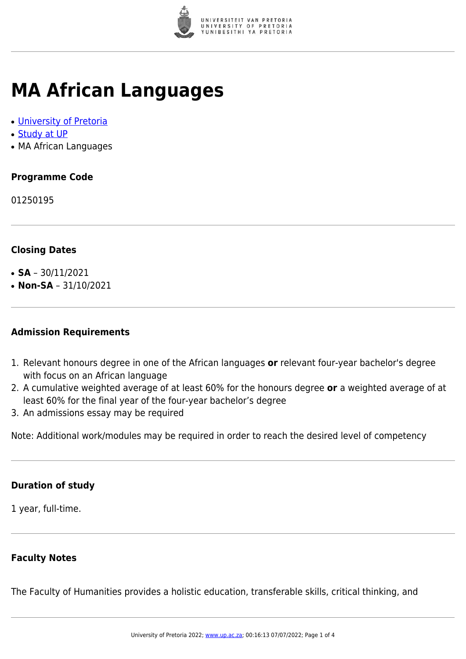

# **MA African Languages**

- [University of Pretoria](https://www.up.ac.za/home)
- [Study at UP](https://www.up.ac.za/programmes)
- MA African Languages

## **Programme Code**

01250195

### **Closing Dates**

- **SA**  $30/11/2021$
- $\cdot$  **Non-SA** 31/10/2021

#### **Admission Requirements**

- 1. Relevant honours degree in one of the African languages **or** relevant four-year bachelor's degree with focus on an African language
- 2. A cumulative weighted average of at least 60% for the honours degree **or** a weighted average of at least 60% for the final year of the four-year bachelor's degree
- 3. An admissions essay may be required

Note: Additional work/modules may be required in order to reach the desired level of competency

#### **Duration of study**

1 year, full-time.

#### **Faculty Notes**

The Faculty of Humanities provides a holistic education, transferable skills, critical thinking, and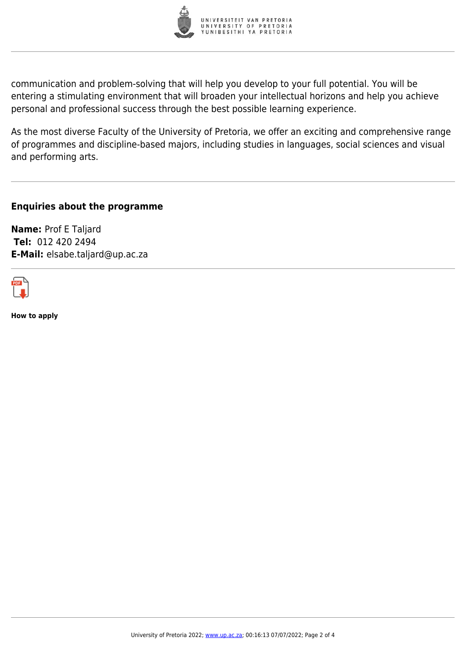

communication and problem-solving that will help you develop to your full potential. You will be entering a stimulating environment that will broaden your intellectual horizons and help you achieve personal and professional success through the best possible learning experience.

As the most diverse Faculty of the University of Pretoria, we offer an exciting and comprehensive range of programmes and discipline-based majors, including studies in languages, social sciences and visual and performing arts.

**Enquiries about the programme**

**Name:** Prof E Taljard **Tel:** 012 420 2494 **E-Mail:** elsabe.taljard@up.ac.za



**How to apply**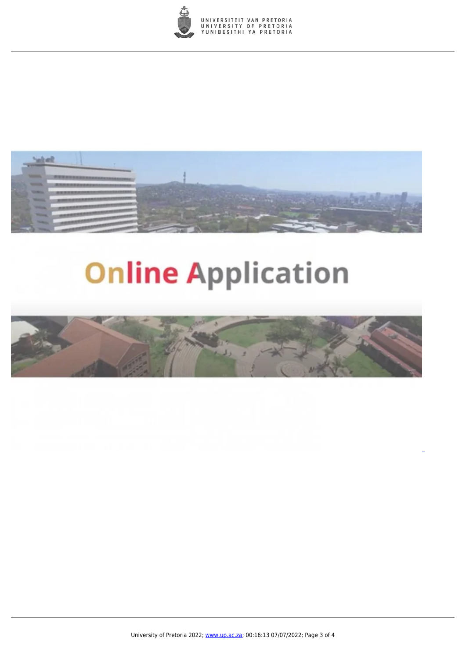



# **Online Application**